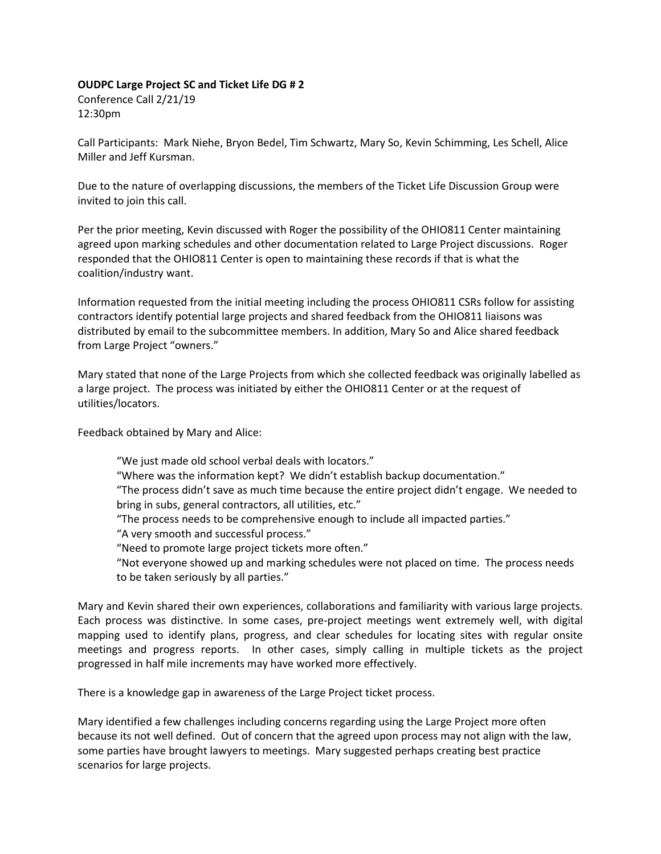## **OUDPC Large Project SC and Ticket Life DG # 2**

Conference Call 2/21/19 12:30pm

Call Participants: Mark Niehe, Bryon Bedel, Tim Schwartz, Mary So, Kevin Schimming, Les Schell, Alice Miller and Jeff Kursman.

Due to the nature of overlapping discussions, the members of the Ticket Life Discussion Group were invited to join this call.

Per the prior meeting, Kevin discussed with Roger the possibility of the OHIO811 Center maintaining agreed upon marking schedules and other documentation related to Large Project discussions. Roger responded that the OHIO811 Center is open to maintaining these records if that is what the coalition/industry want.

Information requested from the initial meeting including the process OHIO811 CSRs follow for assisting contractors identify potential large projects and shared feedback from the OHIO811 liaisons was distributed by email to the subcommittee members. In addition, Mary So and Alice shared feedback from Large Project "owners."

Mary stated that none of the Large Projects from which she collected feedback was originally labelled as a large project. The process was initiated by either the OHIO811 Center or at the request of utilities/locators.

Feedback obtained by Mary and Alice:

"We just made old school verbal deals with locators."

"Where was the information kept? We didn't establish backup documentation."

"The process didn't save as much time because the entire project didn't engage. We needed to bring in subs, general contractors, all utilities, etc."

"The process needs to be comprehensive enough to include all impacted parties."

"A very smooth and successful process."

"Need to promote large project tickets more often."

"Not everyone showed up and marking schedules were not placed on time. The process needs to be taken seriously by all parties."

Mary and Kevin shared their own experiences, collaborations and familiarity with various large projects. Each process was distinctive. In some cases, pre-project meetings went extremely well, with digital mapping used to identify plans, progress, and clear schedules for locating sites with regular onsite meetings and progress reports. In other cases, simply calling in multiple tickets as the project progressed in half mile increments may have worked more effectively.

There is a knowledge gap in awareness of the Large Project ticket process.

Mary identified a few challenges including concerns regarding using the Large Project more often because its not well defined. Out of concern that the agreed upon process may not align with the law, some parties have brought lawyers to meetings. Mary suggested perhaps creating best practice scenarios for large projects.